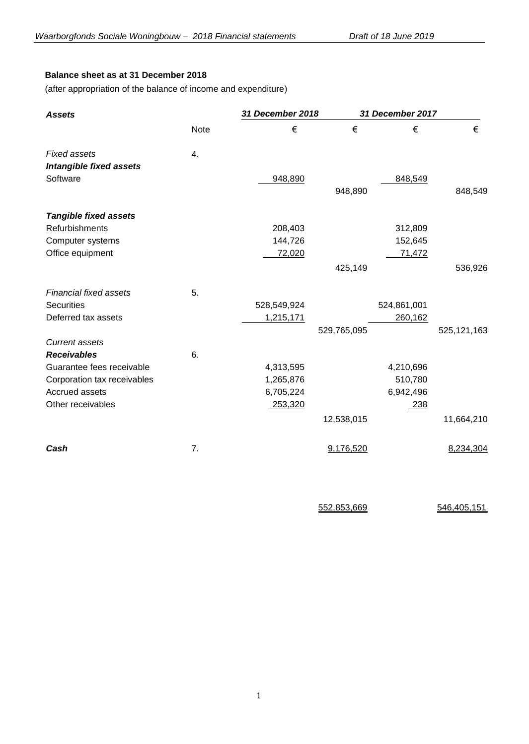# **Balance sheet as at 31 December 2018**

(after appropriation of the balance of income and expenditure)

| <b>Assets</b>                  |             | 31 December 2018 |             | 31 December 2017 |               |
|--------------------------------|-------------|------------------|-------------|------------------|---------------|
|                                | <b>Note</b> | €                | €           | €                | €             |
| <b>Fixed assets</b>            | 4.          |                  |             |                  |               |
| <b>Intangible fixed assets</b> |             |                  |             |                  |               |
| Software                       |             | 948,890          |             | 848,549          |               |
|                                |             |                  | 948,890     |                  | 848,549       |
| <b>Tangible fixed assets</b>   |             |                  |             |                  |               |
| Refurbishments                 |             | 208,403          |             | 312,809          |               |
| Computer systems               |             | 144,726          |             | 152,645          |               |
| Office equipment               |             | 72,020           |             | 71,472           |               |
|                                |             |                  | 425,149     |                  | 536,926       |
| <b>Financial fixed assets</b>  | 5.          |                  |             |                  |               |
| <b>Securities</b>              |             | 528,549,924      |             | 524,861,001      |               |
| Deferred tax assets            |             | 1,215,171        |             | 260,162          |               |
|                                |             |                  | 529,765,095 |                  | 525, 121, 163 |
| <b>Current assets</b>          |             |                  |             |                  |               |
| <b>Receivables</b>             | 6.          |                  |             |                  |               |
| Guarantee fees receivable      |             | 4,313,595        |             | 4,210,696        |               |
| Corporation tax receivables    |             | 1,265,876        |             | 510,780          |               |
| Accrued assets                 |             | 6,705,224        |             | 6,942,496        |               |
| Other receivables              |             | 253,320          |             | $-238$           |               |
|                                |             |                  | 12,538,015  |                  | 11,664,210    |
| Cash                           | 7.          |                  | 9,176,520   |                  | 8,234,304     |

552,853,669 546,405,151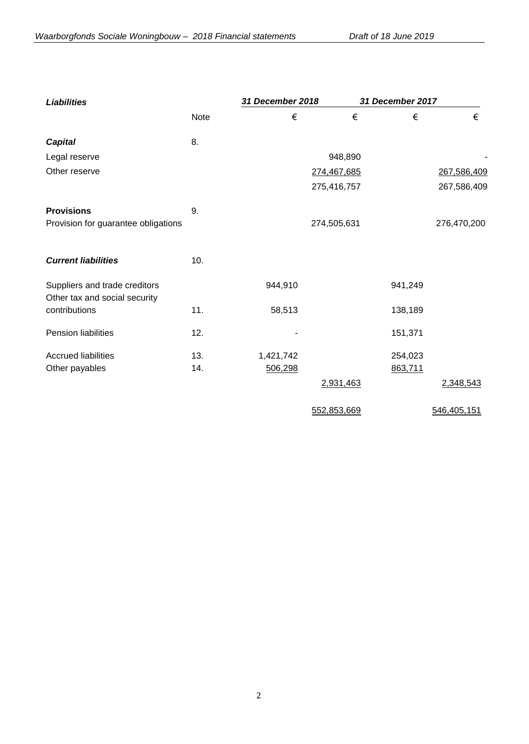| <b>Liabilities</b>                                             |      | 31 December 2018 |             | 31 December 2017 |             |
|----------------------------------------------------------------|------|------------------|-------------|------------------|-------------|
|                                                                | Note | €                | $\in$       | €                | €           |
| <b>Capital</b>                                                 | 8.   |                  |             |                  |             |
| Legal reserve                                                  |      |                  | 948,890     |                  |             |
| Other reserve                                                  |      |                  | 274,467,685 |                  | 267,586,409 |
|                                                                |      |                  | 275,416,757 |                  | 267,586,409 |
| <b>Provisions</b>                                              | 9.   |                  |             |                  |             |
| Provision for guarantee obligations                            |      |                  | 274,505,631 |                  | 276,470,200 |
| <b>Current liabilities</b>                                     | 10.  |                  |             |                  |             |
| Suppliers and trade creditors<br>Other tax and social security |      | 944,910          |             | 941,249          |             |
| contributions                                                  | 11.  | 58,513           |             | 138,189          |             |
| Pension liabilities                                            | 12.  |                  |             | 151,371          |             |
| <b>Accrued liabilities</b>                                     | 13.  | 1,421,742        |             | 254,023          |             |
| Other payables                                                 | 14.  | 506,298          |             | 863,711          |             |
|                                                                |      |                  | 2,931,463   |                  | 2,348,543   |
|                                                                |      |                  | 552,853,669 |                  | 546,405,151 |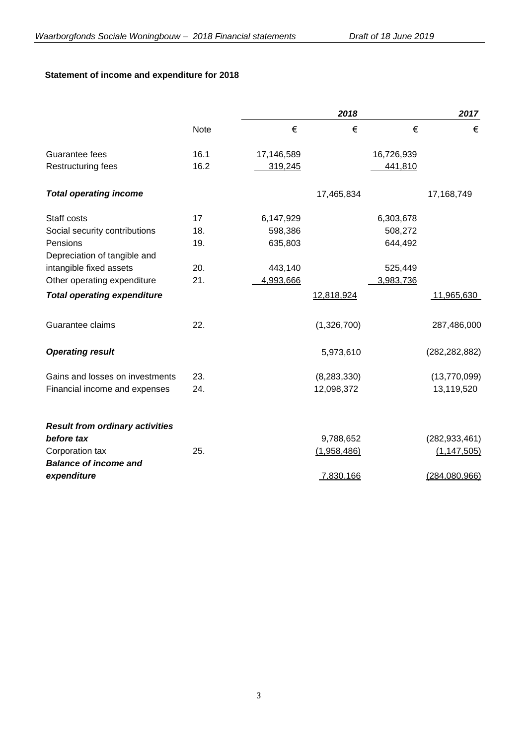# **Statement of income and expenditure for 2018**

|                                        |             |            | 2018          |            | 2017            |
|----------------------------------------|-------------|------------|---------------|------------|-----------------|
|                                        | <b>Note</b> | €          | €             | €          | €               |
| Guarantee fees                         | 16.1        | 17,146,589 |               | 16,726,939 |                 |
| Restructuring fees                     | 16.2        | 319,245    |               | 441,810    |                 |
| <b>Total operating income</b>          |             |            | 17,465,834    |            | 17,168,749      |
| Staff costs                            | 17          | 6,147,929  |               | 6,303,678  |                 |
| Social security contributions          | 18.         | 598,386    |               | 508,272    |                 |
| Pensions                               | 19.         | 635,803    |               | 644,492    |                 |
| Depreciation of tangible and           |             |            |               |            |                 |
| intangible fixed assets                | 20.         | 443,140    |               | 525,449    |                 |
| Other operating expenditure            | 21.         | 4,993,666  |               | 3,983,736  |                 |
| <b>Total operating expenditure</b>     |             |            | 12,818,924    |            | 11,965,630      |
| Guarantee claims                       | 22.         |            | (1,326,700)   |            | 287,486,000     |
| <b>Operating result</b>                |             |            | 5,973,610     |            | (282, 282, 882) |
| Gains and losses on investments        | 23.         |            | (8, 283, 330) |            | (13,770,099)    |
| Financial income and expenses          | 24.         |            | 12,098,372    |            | 13,119,520      |
| <b>Result from ordinary activities</b> |             |            |               |            |                 |
| before tax                             |             |            | 9,788,652     |            | (282, 933, 461) |
| Corporation tax                        | 25.         |            | (1,958,486)   |            | (1, 147, 505)   |
| <b>Balance of income and</b>           |             |            |               |            |                 |
| expenditure                            |             |            | 7,830,166     |            | (284,080,966)   |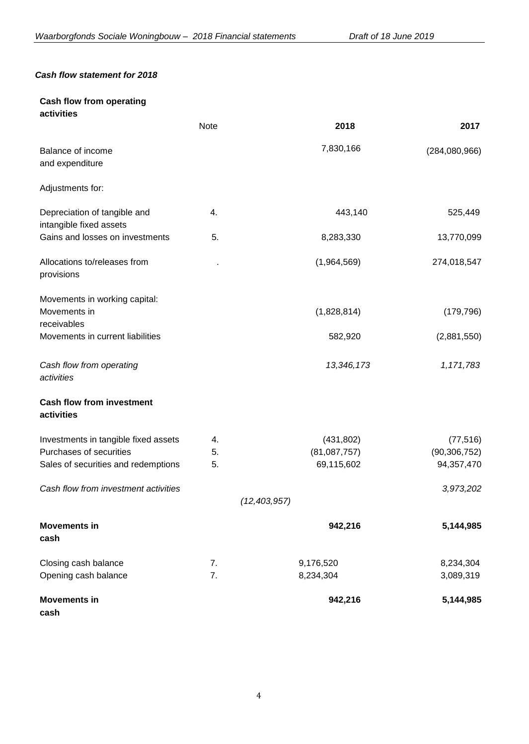## *Cash flow statement for 2018*

## **Cash flow from operating activities**

|                                                              | Note | 2018           | 2017           |
|--------------------------------------------------------------|------|----------------|----------------|
| Balance of income<br>and expenditure                         |      | 7,830,166      | (284,080,966)  |
| Adjustments for:                                             |      |                |                |
| Depreciation of tangible and<br>intangible fixed assets      | 4.   | 443,140        | 525,449        |
| Gains and losses on investments                              | 5.   | 8,283,330      | 13,770,099     |
| Allocations to/releases from<br>provisions                   |      | (1,964,569)    | 274,018,547    |
| Movements in working capital:<br>Movements in<br>receivables |      | (1,828,814)    | (179, 796)     |
| Movements in current liabilities                             |      | 582,920        | (2,881,550)    |
| Cash flow from operating<br>activities                       |      | 13,346,173     | 1,171,783      |
| <b>Cash flow from investment</b><br>activities               |      |                |                |
| Investments in tangible fixed assets                         | 4.   | (431, 802)     | (77, 516)      |
| Purchases of securities                                      | 5.   | (81,087,757)   | (90, 306, 752) |
| Sales of securities and redemptions                          | 5.   | 69,115,602     | 94,357,470     |
| Cash flow from investment activities                         |      |                | 3,973,202      |
|                                                              |      | (12, 403, 957) |                |
| <b>Movements in</b><br>cash                                  |      | 942,216        | 5,144,985      |
| Closing cash balance                                         | 7.   | 9,176,520      | 8,234,304      |
| Opening cash balance                                         | 7.   | 8,234,304      | 3,089,319      |
| <b>Movements in</b><br>cash                                  |      | 942,216        | 5,144,985      |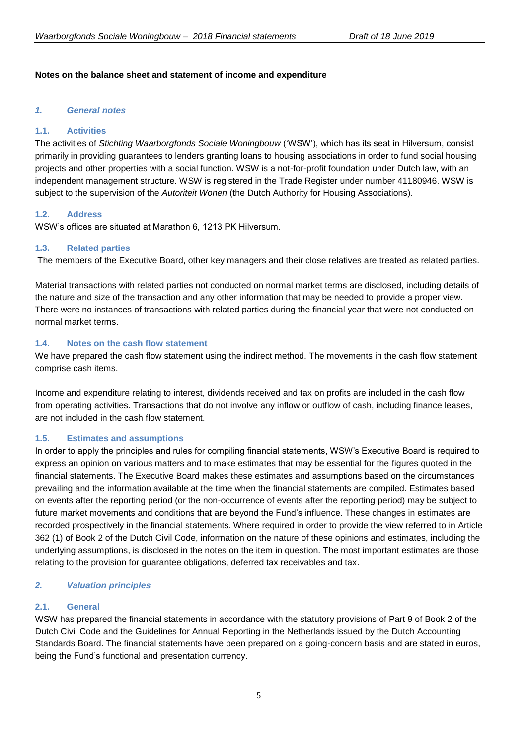## **Notes on the balance sheet and statement of income and expenditure**

## *1. General notes*

## **1.1. Activities**

The activities of *Stichting Waarborgfonds Sociale Woningbouw* ('WSW'), which has its seat in Hilversum, consist primarily in providing guarantees to lenders granting loans to housing associations in order to fund social housing projects and other properties with a social function. WSW is a not-for-profit foundation under Dutch law, with an independent management structure. WSW is registered in the Trade Register under number 41180946. WSW is subject to the supervision of the *Autoriteit Wonen* (the Dutch Authority for Housing Associations).

## **1.2. Address**

WSW's offices are situated at Marathon 6, 1213 PK Hilversum.

## **1.3. Related parties**

The members of the Executive Board, other key managers and their close relatives are treated as related parties.

Material transactions with related parties not conducted on normal market terms are disclosed, including details of the nature and size of the transaction and any other information that may be needed to provide a proper view. There were no instances of transactions with related parties during the financial year that were not conducted on normal market terms.

## **1.4. Notes on the cash flow statement**

We have prepared the cash flow statement using the indirect method. The movements in the cash flow statement comprise cash items.

Income and expenditure relating to interest, dividends received and tax on profits are included in the cash flow from operating activities. Transactions that do not involve any inflow or outflow of cash, including finance leases, are not included in the cash flow statement.

## **1.5. Estimates and assumptions**

In order to apply the principles and rules for compiling financial statements, WSW's Executive Board is required to express an opinion on various matters and to make estimates that may be essential for the figures quoted in the financial statements. The Executive Board makes these estimates and assumptions based on the circumstances prevailing and the information available at the time when the financial statements are compiled. Estimates based on events after the reporting period (or the non-occurrence of events after the reporting period) may be subject to future market movements and conditions that are beyond the Fund's influence. These changes in estimates are recorded prospectively in the financial statements. Where required in order to provide the view referred to in Article 362 (1) of Book 2 of the Dutch Civil Code, information on the nature of these opinions and estimates, including the underlying assumptions, is disclosed in the notes on the item in question. The most important estimates are those relating to the provision for guarantee obligations, deferred tax receivables and tax.

## *2. Valuation principles*

## **2.1. General**

WSW has prepared the financial statements in accordance with the statutory provisions of Part 9 of Book 2 of the Dutch Civil Code and the Guidelines for Annual Reporting in the Netherlands issued by the Dutch Accounting Standards Board. The financial statements have been prepared on a going-concern basis and are stated in euros, being the Fund's functional and presentation currency.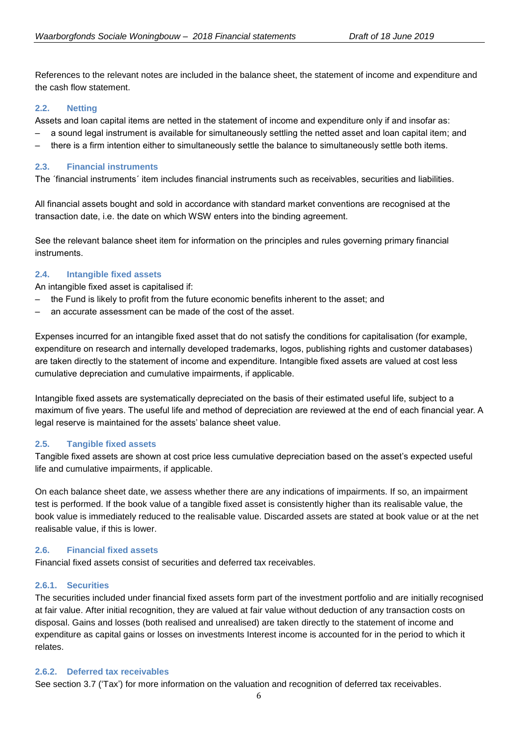References to the relevant notes are included in the balance sheet, the statement of income and expenditure and the cash flow statement.

## **2.2. Netting**

Assets and loan capital items are netted in the statement of income and expenditure only if and insofar as:

- ‒ a sound legal instrument is available for simultaneously settling the netted asset and loan capital item; and
- ‒ there is a firm intention either to simultaneously settle the balance to simultaneously settle both items.

## **2.3. Financial instruments**

The ´financial instruments´ item includes financial instruments such as receivables, securities and liabilities.

All financial assets bought and sold in accordance with standard market conventions are recognised at the transaction date, i.e. the date on which WSW enters into the binding agreement.

See the relevant balance sheet item for information on the principles and rules governing primary financial instruments.

## **2.4. Intangible fixed assets**

An intangible fixed asset is capitalised if:

- ‒ the Fund is likely to profit from the future economic benefits inherent to the asset; and
- ‒ an accurate assessment can be made of the cost of the asset.

Expenses incurred for an intangible fixed asset that do not satisfy the conditions for capitalisation (for example, expenditure on research and internally developed trademarks, logos, publishing rights and customer databases) are taken directly to the statement of income and expenditure. Intangible fixed assets are valued at cost less cumulative depreciation and cumulative impairments, if applicable.

Intangible fixed assets are systematically depreciated on the basis of their estimated useful life, subject to a maximum of five years. The useful life and method of depreciation are reviewed at the end of each financial year. A legal reserve is maintained for the assets' balance sheet value.

## **2.5. Tangible fixed assets**

Tangible fixed assets are shown at cost price less cumulative depreciation based on the asset's expected useful life and cumulative impairments, if applicable.

On each balance sheet date, we assess whether there are any indications of impairments. If so, an impairment test is performed. If the book value of a tangible fixed asset is consistently higher than its realisable value, the book value is immediately reduced to the realisable value. Discarded assets are stated at book value or at the net realisable value, if this is lower.

## **2.6. Financial fixed assets**

Financial fixed assets consist of securities and deferred tax receivables.

## **2.6.1. Securities**

The securities included under financial fixed assets form part of the investment portfolio and are initially recognised at fair value. After initial recognition, they are valued at fair value without deduction of any transaction costs on disposal. Gains and losses (both realised and unrealised) are taken directly to the statement of income and expenditure as capital gains or losses on investments Interest income is accounted for in the period to which it relates.

## **2.6.2. Deferred tax receivables**

See section 3.7 ('Tax') for more information on the valuation and recognition of deferred tax receivables.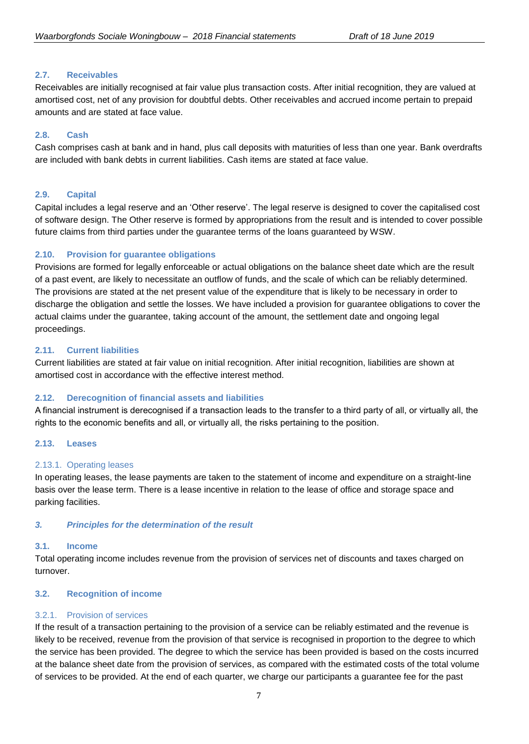## **2.7. Receivables**

Receivables are initially recognised at fair value plus transaction costs. After initial recognition, they are valued at amortised cost, net of any provision for doubtful debts. Other receivables and accrued income pertain to prepaid amounts and are stated at face value.

## **2.8. Cash**

Cash comprises cash at bank and in hand, plus call deposits with maturities of less than one year. Bank overdrafts are included with bank debts in current liabilities. Cash items are stated at face value.

## **2.9. Capital**

Capital includes a legal reserve and an 'Other reserve'. The legal reserve is designed to cover the capitalised cost of software design. The Other reserve is formed by appropriations from the result and is intended to cover possible future claims from third parties under the guarantee terms of the loans guaranteed by WSW.

## **2.10. Provision for guarantee obligations**

Provisions are formed for legally enforceable or actual obligations on the balance sheet date which are the result of a past event, are likely to necessitate an outflow of funds, and the scale of which can be reliably determined. The provisions are stated at the net present value of the expenditure that is likely to be necessary in order to discharge the obligation and settle the losses. We have included a provision for guarantee obligations to cover the actual claims under the guarantee, taking account of the amount, the settlement date and ongoing legal proceedings.

## **2.11. Current liabilities**

Current liabilities are stated at fair value on initial recognition. After initial recognition, liabilities are shown at amortised cost in accordance with the effective interest method.

## **2.12. Derecognition of financial assets and liabilities**

A financial instrument is derecognised if a transaction leads to the transfer to a third party of all, or virtually all, the rights to the economic benefits and all, or virtually all, the risks pertaining to the position.

## **2.13. Leases**

## 2.13.1. Operating leases

In operating leases, the lease payments are taken to the statement of income and expenditure on a straight-line basis over the lease term. There is a lease incentive in relation to the lease of office and storage space and parking facilities.

## *3. Principles for the determination of the result*

## **3.1. Income**

Total operating income includes revenue from the provision of services net of discounts and taxes charged on turnover.

## **3.2. Recognition of income**

## 3.2.1. Provision of services

If the result of a transaction pertaining to the provision of a service can be reliably estimated and the revenue is likely to be received, revenue from the provision of that service is recognised in proportion to the degree to which the service has been provided. The degree to which the service has been provided is based on the costs incurred at the balance sheet date from the provision of services, as compared with the estimated costs of the total volume of services to be provided. At the end of each quarter, we charge our participants a guarantee fee for the past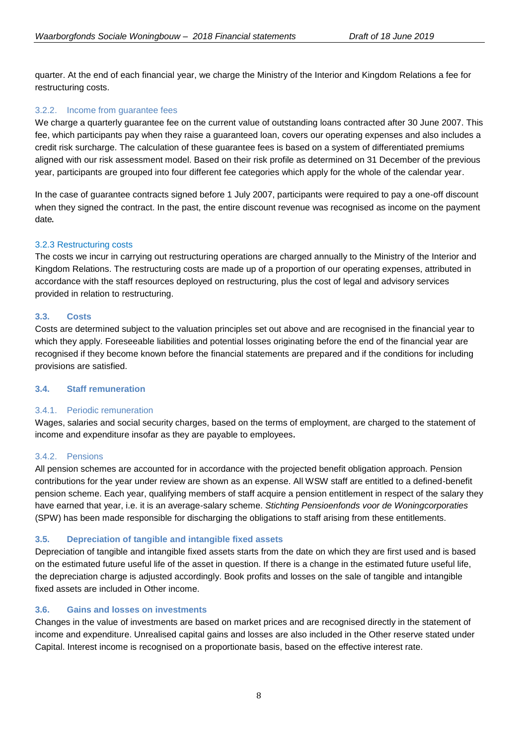quarter. At the end of each financial year, we charge the Ministry of the Interior and Kingdom Relations a fee for restructuring costs.

## 3.2.2. Income from guarantee fees

We charge a quarterly guarantee fee on the current value of outstanding loans contracted after 30 June 2007. This fee, which participants pay when they raise a guaranteed loan, covers our operating expenses and also includes a credit risk surcharge. The calculation of these guarantee fees is based on a system of differentiated premiums aligned with our risk assessment model. Based on their risk profile as determined on 31 December of the previous year, participants are grouped into four different fee categories which apply for the whole of the calendar year.

In the case of guarantee contracts signed before 1 July 2007, participants were required to pay a one-off discount when they signed the contract. In the past, the entire discount revenue was recognised as income on the payment date.

## 3.2.3 Restructuring costs

The costs we incur in carrying out restructuring operations are charged annually to the Ministry of the Interior and Kingdom Relations. The restructuring costs are made up of a proportion of our operating expenses, attributed in accordance with the staff resources deployed on restructuring, plus the cost of legal and advisory services provided in relation to restructuring.

## **3.3. Costs**

Costs are determined subject to the valuation principles set out above and are recognised in the financial year to which they apply. Foreseeable liabilities and potential losses originating before the end of the financial year are recognised if they become known before the financial statements are prepared and if the conditions for including provisions are satisfied.

## **3.4. Staff remuneration**

## 3.4.1. Periodic remuneration

Wages, salaries and social security charges, based on the terms of employment, are charged to the statement of income and expenditure insofar as they are payable to employees.

## 3.4.2. Pensions

All pension schemes are accounted for in accordance with the projected benefit obligation approach. Pension contributions for the year under review are shown as an expense. All WSW staff are entitled to a defined-benefit pension scheme. Each year, qualifying members of staff acquire a pension entitlement in respect of the salary they have earned that year, i.e. it is an average-salary scheme. *Stichting Pensioenfonds voor de Woningcorporaties* (SPW) has been made responsible for discharging the obligations to staff arising from these entitlements.

## **3.5. Depreciation of tangible and intangible fixed assets**

Depreciation of tangible and intangible fixed assets starts from the date on which they are first used and is based on the estimated future useful life of the asset in question. If there is a change in the estimated future useful life, the depreciation charge is adjusted accordingly. Book profits and losses on the sale of tangible and intangible fixed assets are included in Other income.

## **3.6. Gains and losses on investments**

Changes in the value of investments are based on market prices and are recognised directly in the statement of income and expenditure. Unrealised capital gains and losses are also included in the Other reserve stated under Capital. Interest income is recognised on a proportionate basis, based on the effective interest rate.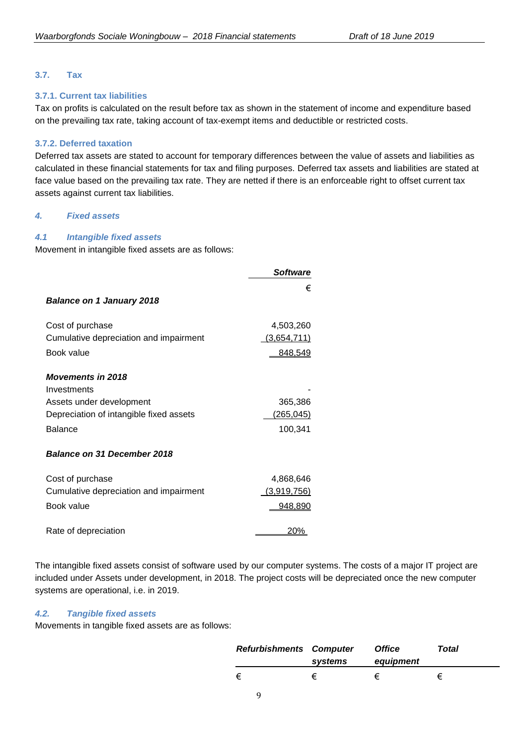## **3.7. Tax**

### **3.7.1. Current tax liabilities**

Tax on profits is calculated on the result before tax as shown in the statement of income and expenditure based on the prevailing tax rate, taking account of tax-exempt items and deductible or restricted costs.

#### **3.7.2. Deferred taxation**

Deferred tax assets are stated to account for temporary differences between the value of assets and liabilities as calculated in these financial statements for tax and filing purposes. Deferred tax assets and liabilities are stated at face value based on the prevailing tax rate. They are netted if there is an enforceable right to offset current tax assets against current tax liabilities.

#### *4. Fixed assets*

#### *4.1 Intangible fixed assets*

Movement in intangible fixed assets are as follows:

|                                         | <b>Software</b> |
|-----------------------------------------|-----------------|
|                                         | €               |
| <b>Balance on 1 January 2018</b>        |                 |
| Cost of purchase                        | 4,503,260       |
| Cumulative depreciation and impairment  | (3,654,711)     |
| Book value                              | 848,549         |
| <b>Movements in 2018</b>                |                 |
| Investments                             |                 |
| Assets under development                | 365,386         |
| Depreciation of intangible fixed assets | (265, 045)      |
| <b>Balance</b>                          | 100,341         |
| <b>Balance on 31 December 2018</b>      |                 |
| Cost of purchase                        | 4,868,646       |
| Cumulative depreciation and impairment  | (3,919,756)     |
| Book value                              | 948,890         |
| Rate of depreciation                    | 20%             |

The intangible fixed assets consist of software used by our computer systems. The costs of a major IT project are included under Assets under development, in 2018. The project costs will be depreciated once the new computer systems are operational, i.e. in 2019.

## *4.2. Tangible fixed assets*

Movements in tangible fixed assets are as follows:

| <b>Refurbishments Computer</b> | systems | <b>Office</b><br>equipment | Total |
|--------------------------------|---------|----------------------------|-------|
| €                              |         | €                          |       |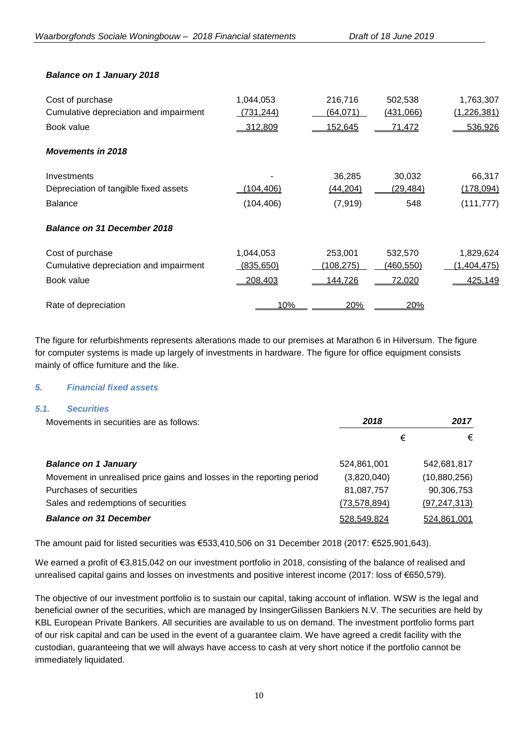## *Balance on 1 January 2018*

| Cost of purchase                       | 1,044,053  | 216,716    | 502,538          | 1,763,307   |
|----------------------------------------|------------|------------|------------------|-------------|
| Cumulative depreciation and impairment | (731, 244) | (64, 071)  | (431,066)        | (1,226,381) |
| Book value                             | 312,809    | 152,645    | <u>71,472</u>    | 536,926     |
| <b>Movements in 2018</b>               |            |            |                  |             |
| Investments                            |            | 36,285     | 30,032           | 66,317      |
| Depreciation of tangible fixed assets  | (104,406)  | (44, 204)  | (29, 484)        | (178,094)   |
| <b>Balance</b>                         | (104, 406) | (7, 919)   | 548              | (111, 777)  |
| <b>Balance on 31 December 2018</b>     |            |            |                  |             |
| Cost of purchase                       | 1,044,053  | 253,001    | 532,570          | 1,829,624   |
| Cumulative depreciation and impairment | (835, 650) | (108, 275) | <u>(460,550)</u> | (1,404,475) |
| Book value                             | 208,403    | 144,726    | 72,020           | 425,149     |
| Rate of depreciation                   | 10%        | 20%        | 20%              |             |

The figure for refurbishments represents alterations made to our premises at Marathon 6 in Hilversum. The figure for computer systems is made up largely of investments in hardware. The figure for office equipment consists mainly of office furniture and the like.

## *5. Financial fixed assets*

## *5.1. Securities*

| Movements in securities are as follows:                               | 2018           |   | 2017           |
|-----------------------------------------------------------------------|----------------|---|----------------|
|                                                                       |                | € | €              |
| <b>Balance on 1 January</b>                                           | 524,861,001    |   | 542,681,817    |
| Movement in unrealised price gains and losses in the reporting period | (3,820,040)    |   | (10,880,256)   |
| Purchases of securities                                               | 81,087,757     |   | 90,306,753     |
| Sales and redemptions of securities                                   | (73, 578, 894) |   | (97, 247, 313) |
| <b>Balance on 31 December</b>                                         | 528,549,824    |   | 524,861,001    |

The amount paid for listed securities was €533,410,506 on 31 December 2018 (2017: €525,901,643).

We earned a profit of €3,815,042 on our investment portfolio in 2018, consisting of the balance of realised and unrealised capital gains and losses on investments and positive interest income (2017: loss of €650,579).

The objective of our investment portfolio is to sustain our capital, taking account of inflation. WSW is the legal and beneficial owner of the securities, which are managed by InsingerGilissen Bankiers N.V. The securities are held by KBL European Private Bankers. All securities are available to us on demand. The investment portfolio forms part of our risk capital and can be used in the event of a guarantee claim. We have agreed a credit facility with the custodian, guaranteeing that we will always have access to cash at very short notice if the portfolio cannot be immediately liquidated.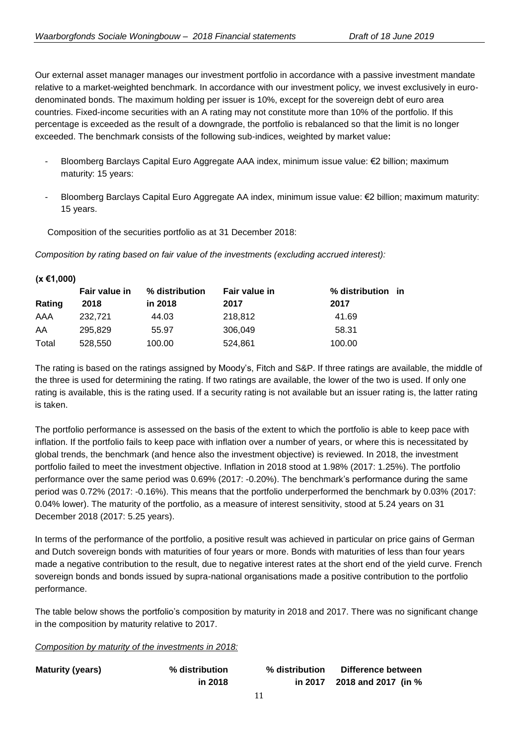Our external asset manager manages our investment portfolio in accordance with a passive investment mandate relative to a market-weighted benchmark. In accordance with our investment policy, we invest exclusively in eurodenominated bonds. The maximum holding per issuer is 10%, except for the sovereign debt of euro area countries. Fixed-income securities with an A rating may not constitute more than 10% of the portfolio. If this percentage is exceeded as the result of a downgrade, the portfolio is rebalanced so that the limit is no longer exceeded. The benchmark consists of the following sub-indices, weighted by market value:

- Bloomberg Barclays Capital Euro Aggregate AAA index, minimum issue value: €2 billion; maximum maturity: 15 years:
- Bloomberg Barclays Capital Euro Aggregate AA index, minimum issue value: €2 billion; maximum maturity: 15 years.

Composition of the securities portfolio as at 31 December 2018:

**(x €1,000)**

*Composition by rating based on fair value of the investments (excluding accrued interest):*

| (0.51,000) |               |                |                      |                   |  |
|------------|---------------|----------------|----------------------|-------------------|--|
|            | Fair value in | % distribution | <b>Fair value in</b> | % distribution in |  |
| Rating     | 2018          | in 2018        | 2017                 | 2017              |  |
| AAA        | 232.721       | 44.03          | 218,812              | 41.69             |  |
| AA         | 295.829       | 55.97          | 306.049              | 58.31             |  |
| Total      | 528,550       | 100.00         | 524,861              | 100.00            |  |
|            |               |                |                      |                   |  |

The rating is based on the ratings assigned by Moody's, Fitch and S&P. If three ratings are available, the middle of the three is used for determining the rating. If two ratings are available, the lower of the two is used. If only one rating is available, this is the rating used. If a security rating is not available but an issuer rating is, the latter rating is taken.

The portfolio performance is assessed on the basis of the extent to which the portfolio is able to keep pace with inflation. If the portfolio fails to keep pace with inflation over a number of years, or where this is necessitated by global trends, the benchmark (and hence also the investment objective) is reviewed. In 2018, the investment portfolio failed to meet the investment objective. Inflation in 2018 stood at 1.98% (2017: 1.25%). The portfolio performance over the same period was 0.69% (2017: -0.20%). The benchmark's performance during the same period was 0.72% (2017: -0.16%). This means that the portfolio underperformed the benchmark by 0.03% (2017: 0.04% lower). The maturity of the portfolio, as a measure of interest sensitivity, stood at 5.24 years on 31 December 2018 (2017: 5.25 years).

In terms of the performance of the portfolio, a positive result was achieved in particular on price gains of German and Dutch sovereign bonds with maturities of four years or more. Bonds with maturities of less than four years made a negative contribution to the result, due to negative interest rates at the short end of the yield curve. French sovereign bonds and bonds issued by supra-national organisations made a positive contribution to the portfolio performance.

The table below shows the portfolio's composition by maturity in 2018 and 2017. There was no significant change in the composition by maturity relative to 2017.

*Composition by maturity of the investments in 2018:*

| <b>Maturity (years)</b> | % distribution | % distribution | Difference between  |
|-------------------------|----------------|----------------|---------------------|
|                         | in 2018        | in 2017        | 2018 and 2017 (in % |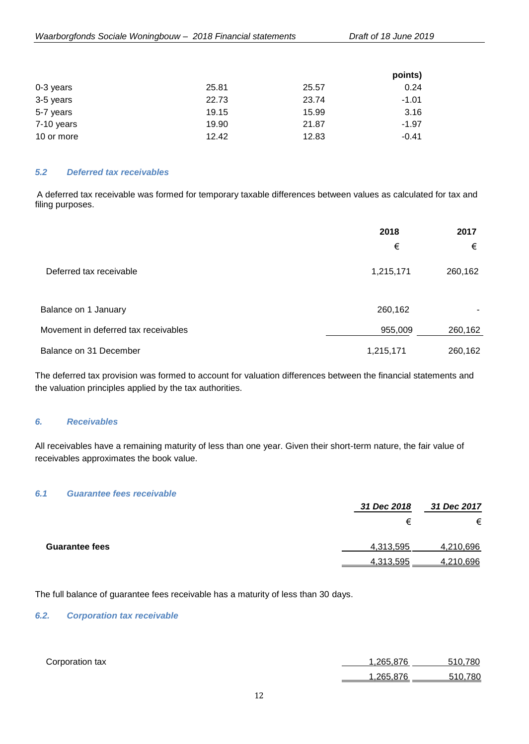|            |       |       | points) |
|------------|-------|-------|---------|
| 0-3 years  | 25.81 | 25.57 | 0.24    |
| 3-5 years  | 22.73 | 23.74 | -1.01   |
| 5-7 years  | 19.15 | 15.99 | 3.16    |
| 7-10 years | 19.90 | 21.87 | -1.97   |
| 10 or more | 12.42 | 12.83 | $-0.41$ |

## *5.2 Deferred tax receivables*

A deferred tax receivable was formed for temporary taxable differences between values as calculated for tax and filing purposes.

|                                      | 2018      | 2017    |
|--------------------------------------|-----------|---------|
|                                      | €         | €       |
| Deferred tax receivable              | 1,215,171 | 260,162 |
| Balance on 1 January                 | 260,162   |         |
| Movement in deferred tax receivables | 955,009   | 260,162 |
| Balance on 31 December               | 1,215,171 | 260,162 |

The deferred tax provision was formed to account for valuation differences between the financial statements and the valuation principles applied by the tax authorities.

#### *6. Receivables*

All receivables have a remaining maturity of less than one year. Given their short-term nature, the fair value of receivables approximates the book value.

#### *6.1 Guarantee fees receivable*

|                       | 31 Dec 2018 | 31 Dec 2017 |
|-----------------------|-------------|-------------|
|                       | €           | €           |
| <b>Guarantee fees</b> | 4,313,595   | 4,210,696   |
|                       | 4,313,595   | 4,210,696   |

The full balance of guarantee fees receivable has a maturity of less than 30 days.

## *6.2. Corporation tax receivable*

| Corporation tax | 1.265.876 | 510.780 |
|-----------------|-----------|---------|
|                 | 1.265.876 | 510.780 |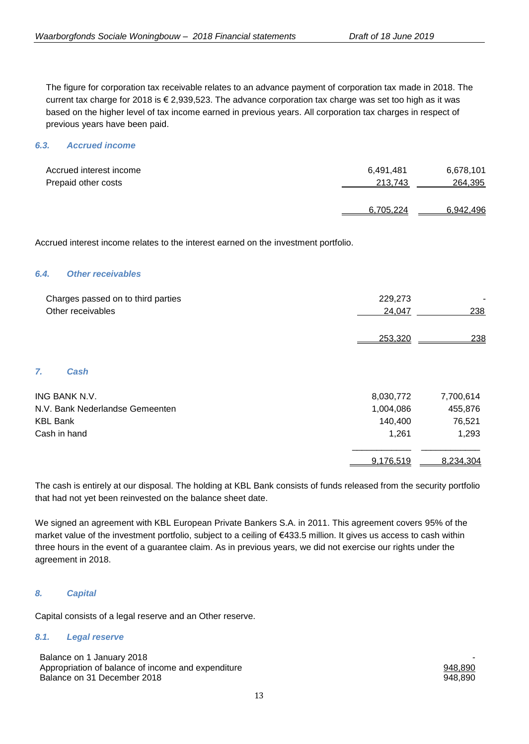The figure for corporation tax receivable relates to an advance payment of corporation tax made in 2018. The current tax charge for 2018 is € 2,939,523. The advance corporation tax charge was set too high as it was based on the higher level of tax income earned in previous years. All corporation tax charges in respect of previous years have been paid.

### *6.3. Accrued income*

| Accrued interest income | 6.491.481 | 6,678,101 |
|-------------------------|-----------|-----------|
| Prepaid other costs     | 213,743   | 264,395   |
|                         |           |           |
|                         | 6.705.224 | 6,942,496 |

Accrued interest income relates to the interest earned on the investment portfolio.

#### *6.4. Other receivables*

| Charges passed on to third parties<br>Other receivables | 229,273<br>24.047 | 238 |
|---------------------------------------------------------|-------------------|-----|
|                                                         | 253,320           | 238 |

*7. Cash*

| ING BANK N.V.                   | 8,030,772 | 7,700,614 |
|---------------------------------|-----------|-----------|
| N.V. Bank Nederlandse Gemeenten | 1,004,086 | 455,876   |
| <b>KBL Bank</b>                 | 140.400   | 76,521    |
| Cash in hand                    | 1.261     | 1,293     |
|                                 |           |           |
|                                 | 9,176,519 | 8.234.304 |

The cash is entirely at our disposal. The holding at KBL Bank consists of funds released from the security portfolio that had not yet been reinvested on the balance sheet date.

We signed an agreement with KBL European Private Bankers S.A. in 2011. This agreement covers 95% of the market value of the investment portfolio, subject to a ceiling of €433.5 million. It gives us access to cash within three hours in the event of a guarantee claim. As in previous years, we did not exercise our rights under the agreement in 2018.

## *8. Capital*

Capital consists of a legal reserve and an Other reserve.

#### *8.1. Legal reserve*

Balance on 1 January 2018 Appropriation of balance of income and expenditure expenditure  $948,890$ Balance on 31 December 2018 **948,890** 948,890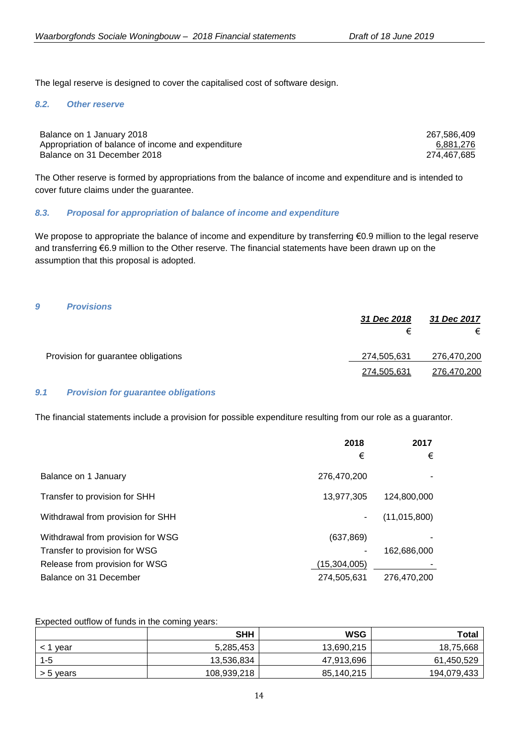The legal reserve is designed to cover the capitalised cost of software design.

#### *8.2. Other reserve*

| Balance on 1 January 2018                          | 267.586.409 |
|----------------------------------------------------|-------------|
| Appropriation of balance of income and expenditure | 6,881,276   |
| Balance on 31 December 2018                        | 274,467,685 |

The Other reserve is formed by appropriations from the balance of income and expenditure and is intended to cover future claims under the guarantee.

## *8.3. Proposal for appropriation of balance of income and expenditure*

We propose to appropriate the balance of income and expenditure by transferring  $\epsilon$ 0.9 million to the legal reserve and transferring €6.9 million to the Other reserve. The financial statements have been drawn up on the assumption that this proposal is adopted.

| 9 | <b>Provisions</b>                   | 31 Dec 2018      | 31 Dec 2017      |
|---|-------------------------------------|------------------|------------------|
|   | Provision for guarantee obligations | €<br>274,505,631 | €<br>276,470,200 |
|   |                                     | 274,505,631      | 276,470,200      |

## *9.1 Provision for guarantee obligations*

The financial statements include a provision for possible expenditure resulting from our role as a guarantor.

|                                   | 2018           | 2017           |
|-----------------------------------|----------------|----------------|
|                                   | €              | €              |
| Balance on 1 January              | 276,470,200    |                |
| Transfer to provision for SHH     | 13,977,305     | 124,800,000    |
| Withdrawal from provision for SHH |                | (11, 015, 800) |
| Withdrawal from provision for WSG | (637, 869)     |                |
| Transfer to provision for WSG     |                | 162,686,000    |
| Release from provision for WSG    | (15, 304, 005) |                |
| Balance on 31 December            | 274,505,631    | 276.470.200    |

Expected outflow of funds in the coming years:

|           | <b>SHH</b>  | <b>WSG</b> | <b>Total</b> |
|-----------|-------------|------------|--------------|
| vear      | 5,285,453   | 13,690,215 | 18,75,668    |
| $1 - 5$   | 13,536,834  | 47,913,696 | 61,450,529   |
| > 5 years | 108,939,218 | 85.140.215 | 194,079,433  |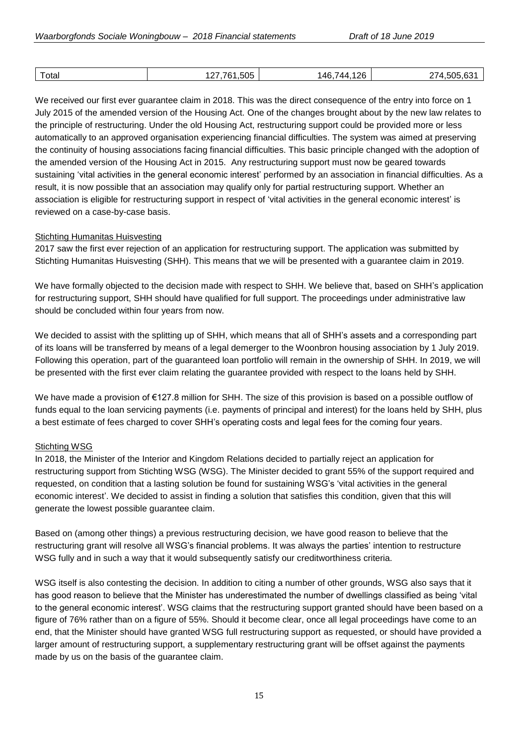| Total | 505<br>. . | ጋፍ<br>146.<br>4⊿ | 505<br>$\sim$<br>$\epsilon$ |
|-------|------------|------------------|-----------------------------|
|       |            |                  |                             |

We received our first ever guarantee claim in 2018. This was the direct consequence of the entry into force on 1 July 2015 of the amended version of the Housing Act. One of the changes brought about by the new law relates to the principle of restructuring. Under the old Housing Act, restructuring support could be provided more or less automatically to an approved organisation experiencing financial difficulties. The system was aimed at preserving the continuity of housing associations facing financial difficulties. This basic principle changed with the adoption of the amended version of the Housing Act in 2015. Any restructuring support must now be geared towards sustaining 'vital activities in the general economic interest' performed by an association in financial difficulties. As a result, it is now possible that an association may qualify only for partial restructuring support. Whether an association is eligible for restructuring support in respect of 'vital activities in the general economic interest' is reviewed on a case-by-case basis.

## Stichting Humanitas Huisvesting

2017 saw the first ever rejection of an application for restructuring support. The application was submitted by Stichting Humanitas Huisvesting (SHH). This means that we will be presented with a guarantee claim in 2019.

We have formally objected to the decision made with respect to SHH. We believe that, based on SHH's application for restructuring support, SHH should have qualified for full support. The proceedings under administrative law should be concluded within four years from now.

We decided to assist with the splitting up of SHH, which means that all of SHH's assets and a corresponding part of its loans will be transferred by means of a legal demerger to the Woonbron housing association by 1 July 2019. Following this operation, part of the guaranteed loan portfolio will remain in the ownership of SHH. In 2019, we will be presented with the first ever claim relating the guarantee provided with respect to the loans held by SHH.

We have made a provision of €127.8 million for SHH. The size of this provision is based on a possible outflow of funds equal to the loan servicing payments (i.e. payments of principal and interest) for the loans held by SHH, plus a best estimate of fees charged to cover SHH's operating costs and legal fees for the coming four years.

## Stichting WSG

In 2018, the Minister of the Interior and Kingdom Relations decided to partially reject an application for restructuring support from Stichting WSG (WSG). The Minister decided to grant 55% of the support required and requested, on condition that a lasting solution be found for sustaining WSG's 'vital activities in the general economic interest'. We decided to assist in finding a solution that satisfies this condition, given that this will generate the lowest possible guarantee claim.

Based on (among other things) a previous restructuring decision, we have good reason to believe that the restructuring grant will resolve all WSG's financial problems. It was always the parties' intention to restructure WSG fully and in such a way that it would subsequently satisfy our creditworthiness criteria.

WSG itself is also contesting the decision. In addition to citing a number of other grounds, WSG also says that it has good reason to believe that the Minister has underestimated the number of dwellings classified as being 'vital to the general economic interest'. WSG claims that the restructuring support granted should have been based on a figure of 76% rather than on a figure of 55%. Should it become clear, once all legal proceedings have come to an end, that the Minister should have granted WSG full restructuring support as requested, or should have provided a larger amount of restructuring support, a supplementary restructuring grant will be offset against the payments made by us on the basis of the guarantee claim.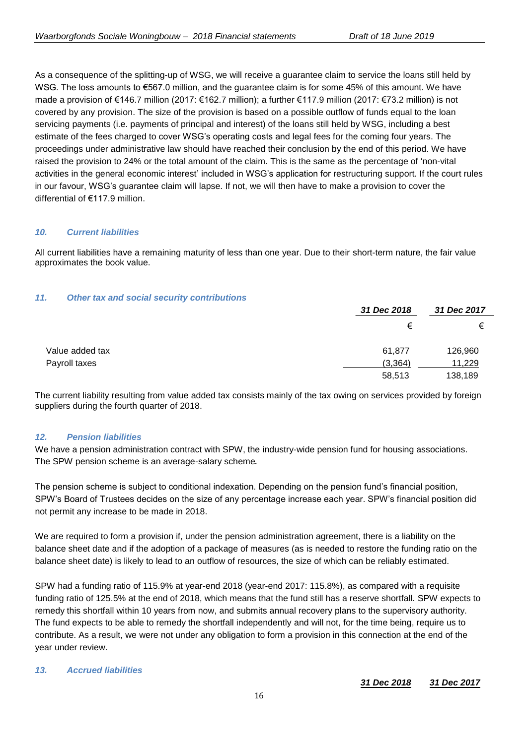As a consequence of the splitting-up of WSG, we will receive a guarantee claim to service the loans still held by WSG. The loss amounts to €567.0 million, and the guarantee claim is for some 45% of this amount. We have made a provision of €146.7 million (2017: €162.7 million); a further €117.9 million (2017: €73.2 million) is not covered by any provision. The size of the provision is based on a possible outflow of funds equal to the loan servicing payments (i.e. payments of principal and interest) of the loans still held by WSG, including a best estimate of the fees charged to cover WSG's operating costs and legal fees for the coming four years. The proceedings under administrative law should have reached their conclusion by the end of this period. We have raised the provision to 24% or the total amount of the claim. This is the same as the percentage of 'non-vital activities in the general economic interest' included in WSG's application for restructuring support. If the court rules in our favour, WSG's guarantee claim will lapse. If not, we will then have to make a provision to cover the differential of €117.9 million.

## *10. Current liabilities*

All current liabilities have a remaining maturity of less than one year. Due to their short-term nature, the fair value approximates the book value.

## *11. Other tax and social security contributions*

|                 | 31 Dec 2018 | 31 Dec 2017 |
|-----------------|-------------|-------------|
|                 | €           | €           |
| Value added tax | 61,877      | 126,960     |
| Payroll taxes   | (3,364)     | 11,229      |
|                 | 58,513      | 138,189     |

The current liability resulting from value added tax consists mainly of the tax owing on services provided by foreign suppliers during the fourth quarter of 2018.

## *12. Pension liabilities*

We have a pension administration contract with SPW, the industry-wide pension fund for housing associations. The SPW pension scheme is an average-salary scheme.

The pension scheme is subject to conditional indexation. Depending on the pension fund's financial position, SPW's Board of Trustees decides on the size of any percentage increase each year. SPW's financial position did not permit any increase to be made in 2018.

We are required to form a provision if, under the pension administration agreement, there is a liability on the balance sheet date and if the adoption of a package of measures (as is needed to restore the funding ratio on the balance sheet date) is likely to lead to an outflow of resources, the size of which can be reliably estimated.

SPW had a funding ratio of 115.9% at year-end 2018 (year-end 2017: 115.8%), as compared with a requisite funding ratio of 125.5% at the end of 2018, which means that the fund still has a reserve shortfall. SPW expects to remedy this shortfall within 10 years from now, and submits annual recovery plans to the supervisory authority. The fund expects to be able to remedy the shortfall independently and will not, for the time being, require us to contribute. As a result, we were not under any obligation to form a provision in this connection at the end of the year under review.

## *13. Accrued liabilities*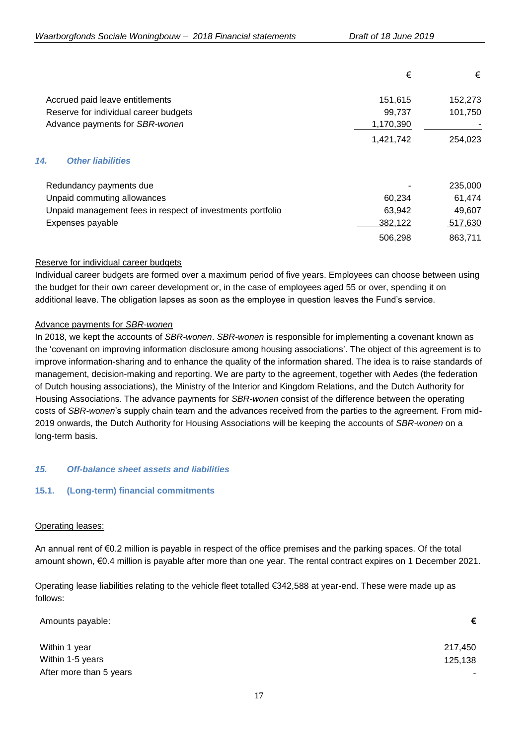|                                                            | €         | €       |
|------------------------------------------------------------|-----------|---------|
| Accrued paid leave entitlements                            | 151,615   | 152,273 |
| Reserve for individual career budgets                      | 99,737    | 101,750 |
| Advance payments for SBR-wonen                             | 1,170,390 |         |
|                                                            | 1,421,742 | 254,023 |
| 14.<br><b>Other liabilities</b>                            |           |         |
| Redundancy payments due                                    |           | 235,000 |
| Unpaid commuting allowances                                | 60,234    | 61,474  |
| Unpaid management fees in respect of investments portfolio | 63,942    | 49,607  |
| Expenses payable                                           | 382,122   | 517,630 |
|                                                            | 506,298   | 863,711 |

## Reserve for individual career budgets

Individual career budgets are formed over a maximum period of five years. Employees can choose between using the budget for their own career development or, in the case of employees aged 55 or over, spending it on additional leave. The obligation lapses as soon as the employee in question leaves the Fund's service.

## Advance payments for *SBR-wonen*

In 2018, we kept the accounts of *SBR-wonen*. *SBR-wonen* is responsible for implementing a covenant known as the 'covenant on improving information disclosure among housing associations'. The object of this agreement is to improve information-sharing and to enhance the quality of the information shared. The idea is to raise standards of management, decision-making and reporting. We are party to the agreement, together with Aedes (the federation of Dutch housing associations), the Ministry of the Interior and Kingdom Relations, and the Dutch Authority for Housing Associations. The advance payments for *SBR-wonen* consist of the difference between the operating costs of *SBR-wonen*'s supply chain team and the advances received from the parties to the agreement. From mid-2019 onwards, the Dutch Authority for Housing Associations will be keeping the accounts of *SBR-wonen* on a long-term basis.

## *15. Off-balance sheet assets and liabilities*

## **15.1. (Long-term) financial commitments**

## Operating leases:

An annual rent of €0.2 million is payable in respect of the office premises and the parking spaces. Of the total amount shown, €0.4 million is payable after more than one year. The rental contract expires on 1 December 2021.

Operating lease liabilities relating to the vehicle fleet totalled €342,588 at year-end. These were made up as follows:

| Amounts payable:        | €       |
|-------------------------|---------|
| Within 1 year           | 217,450 |
| Within 1-5 years        | 125,138 |
| After more than 5 years |         |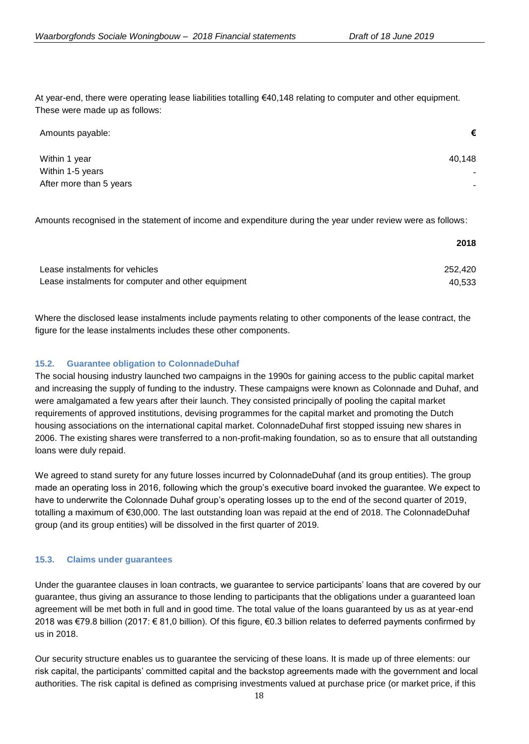At year-end, there were operating lease liabilities totalling €40,148 relating to computer and other equipment. These were made up as follows:

| Amounts payable:        | €      |
|-------------------------|--------|
| Within 1 year           | 40.148 |
| Within 1-5 years        |        |
| After more than 5 years |        |

Amounts recognised in the statement of income and expenditure during the year under review were as follows:

|                                                    | 2018    |
|----------------------------------------------------|---------|
| Lease instalments for vehicles                     | 252.420 |
| Lease instalments for computer and other equipment | 40.533  |

Where the disclosed lease instalments include payments relating to other components of the lease contract, the figure for the lease instalments includes these other components.

## **15.2. Guarantee obligation to ColonnadeDuhaf**

The social housing industry launched two campaigns in the 1990s for gaining access to the public capital market and increasing the supply of funding to the industry. These campaigns were known as Colonnade and Duhaf, and were amalgamated a few years after their launch. They consisted principally of pooling the capital market requirements of approved institutions, devising programmes for the capital market and promoting the Dutch housing associations on the international capital market. ColonnadeDuhaf first stopped issuing new shares in 2006. The existing shares were transferred to a non-profit-making foundation, so as to ensure that all outstanding loans were duly repaid.

We agreed to stand surety for any future losses incurred by ColonnadeDuhaf (and its group entities). The group made an operating loss in 2016, following which the group's executive board invoked the guarantee. We expect to have to underwrite the Colonnade Duhaf group's operating losses up to the end of the second quarter of 2019, totalling a maximum of €30,000. The last outstanding loan was repaid at the end of 2018. The ColonnadeDuhaf group (and its group entities) will be dissolved in the first quarter of 2019.

## **15.3. Claims under guarantees**

Under the guarantee clauses in loan contracts, we guarantee to service participants' loans that are covered by our guarantee, thus giving an assurance to those lending to participants that the obligations under a guaranteed loan agreement will be met both in full and in good time. The total value of the loans guaranteed by us as at year-end 2018 was €79.8 billion (2017: € 81,0 billion). Of this figure, €0.3 billion relates to deferred payments confirmed by us in 2018.

Our security structure enables us to guarantee the servicing of these loans. It is made up of three elements: our risk capital, the participants' committed capital and the backstop agreements made with the government and local authorities. The risk capital is defined as comprising investments valued at purchase price (or market price, if this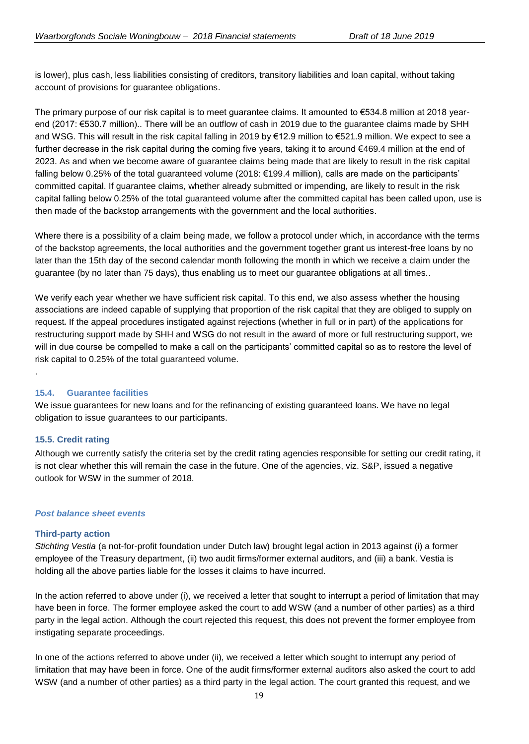is lower), plus cash, less liabilities consisting of creditors, transitory liabilities and loan capital, without taking account of provisions for guarantee obligations.

The primary purpose of our risk capital is to meet guarantee claims. It amounted to €534.8 million at 2018 yearend (2017: €530.7 million).. There will be an outflow of cash in 2019 due to the guarantee claims made by SHH and WSG. This will result in the risk capital falling in 2019 by €12.9 million to €521.9 million. We expect to see a further decrease in the risk capital during the coming five years, taking it to around €469.4 million at the end of 2023. As and when we become aware of guarantee claims being made that are likely to result in the risk capital falling below 0.25% of the total guaranteed volume (2018: €199.4 million), calls are made on the participants' committed capital. If guarantee claims, whether already submitted or impending, are likely to result in the risk capital falling below 0.25% of the total guaranteed volume after the committed capital has been called upon, use is then made of the backstop arrangements with the government and the local authorities.

Where there is a possibility of a claim being made, we follow a protocol under which, in accordance with the terms of the backstop agreements, the local authorities and the government together grant us interest-free loans by no later than the 15th day of the second calendar month following the month in which we receive a claim under the guarantee (by no later than 75 days), thus enabling us to meet our guarantee obligations at all times..

We verify each year whether we have sufficient risk capital. To this end, we also assess whether the housing associations are indeed capable of supplying that proportion of the risk capital that they are obliged to supply on request. If the appeal procedures instigated against rejections (whether in full or in part) of the applications for restructuring support made by SHH and WSG do not result in the award of more or full restructuring support, we will in due course be compelled to make a call on the participants' committed capital so as to restore the level of risk capital to 0.25% of the total guaranteed volume.

## **15.4. Guarantee facilities**

We issue guarantees for new loans and for the refinancing of existing guaranteed loans. We have no legal obligation to issue guarantees to our participants.

## **15.5. Credit rating**

.

Although we currently satisfy the criteria set by the credit rating agencies responsible for setting our credit rating, it is not clear whether this will remain the case in the future. One of the agencies, viz. S&P, issued a negative outlook for WSW in the summer of 2018.

## *Post balance sheet events*

## **Third-party action**

*Stichting Vestia* (a not-for-profit foundation under Dutch law) brought legal action in 2013 against (i) a former employee of the Treasury department, (ii) two audit firms/former external auditors, and (iii) a bank. Vestia is holding all the above parties liable for the losses it claims to have incurred.

In the action referred to above under (i), we received a letter that sought to interrupt a period of limitation that may have been in force. The former employee asked the court to add WSW (and a number of other parties) as a third party in the legal action. Although the court rejected this request, this does not prevent the former employee from instigating separate proceedings.

In one of the actions referred to above under (ii), we received a letter which sought to interrupt any period of limitation that may have been in force. One of the audit firms/former external auditors also asked the court to add WSW (and a number of other parties) as a third party in the legal action. The court granted this request, and we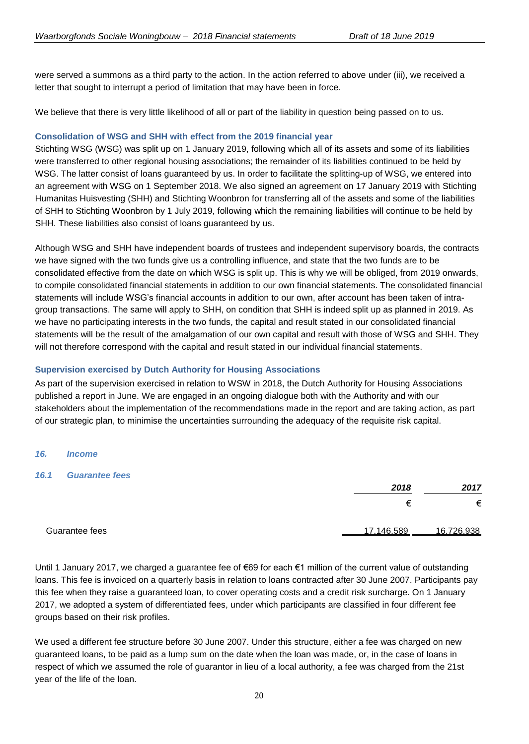were served a summons as a third party to the action. In the action referred to above under (iii), we received a letter that sought to interrupt a period of limitation that may have been in force.

We believe that there is very little likelihood of all or part of the liability in question being passed on to us.

## **Consolidation of WSG and SHH with effect from the 2019 financial year**

Stichting WSG (WSG) was split up on 1 January 2019, following which all of its assets and some of its liabilities were transferred to other regional housing associations; the remainder of its liabilities continued to be held by WSG. The latter consist of loans quaranteed by us. In order to facilitate the splitting-up of WSG, we entered into an agreement with WSG on 1 September 2018. We also signed an agreement on 17 January 2019 with Stichting Humanitas Huisvesting (SHH) and Stichting Woonbron for transferring all of the assets and some of the liabilities of SHH to Stichting Woonbron by 1 July 2019, following which the remaining liabilities will continue to be held by SHH. These liabilities also consist of loans guaranteed by us.

Although WSG and SHH have independent boards of trustees and independent supervisory boards, the contracts we have signed with the two funds give us a controlling influence, and state that the two funds are to be consolidated effective from the date on which WSG is split up. This is why we will be obliged, from 2019 onwards, to compile consolidated financial statements in addition to our own financial statements. The consolidated financial statements will include WSG's financial accounts in addition to our own, after account has been taken of intragroup transactions. The same will apply to SHH, on condition that SHH is indeed split up as planned in 2019. As we have no participating interests in the two funds, the capital and result stated in our consolidated financial statements will be the result of the amalgamation of our own capital and result with those of WSG and SHH. They will not therefore correspond with the capital and result stated in our individual financial statements.

## **Supervision exercised by Dutch Authority for Housing Associations**

As part of the supervision exercised in relation to WSW in 2018, the Dutch Authority for Housing Associations published a report in June. We are engaged in an ongoing dialogue both with the Authority and with our stakeholders about the implementation of the recommendations made in the report and are taking action, as part of our strategic plan, to minimise the uncertainties surrounding the adequacy of the requisite risk capital.

## *16. Income*

## *16.1 Guarantee fees*

|                | 2018       | 2017       |
|----------------|------------|------------|
|                | ≠          | €          |
| Guarantee fees | 17,146,589 | 16,726,938 |

Until 1 January 2017, we charged a guarantee fee of €69 for each €1 million of the current value of outstanding loans. This fee is invoiced on a quarterly basis in relation to loans contracted after 30 June 2007. Participants pay this fee when they raise a guaranteed loan, to cover operating costs and a credit risk surcharge. On 1 January 2017, we adopted a system of differentiated fees, under which participants are classified in four different fee groups based on their risk profiles.

We used a different fee structure before 30 June 2007. Under this structure, either a fee was charged on new guaranteed loans, to be paid as a lump sum on the date when the loan was made, or, in the case of loans in respect of which we assumed the role of guarantor in lieu of a local authority, a fee was charged from the 21st year of the life of the loan.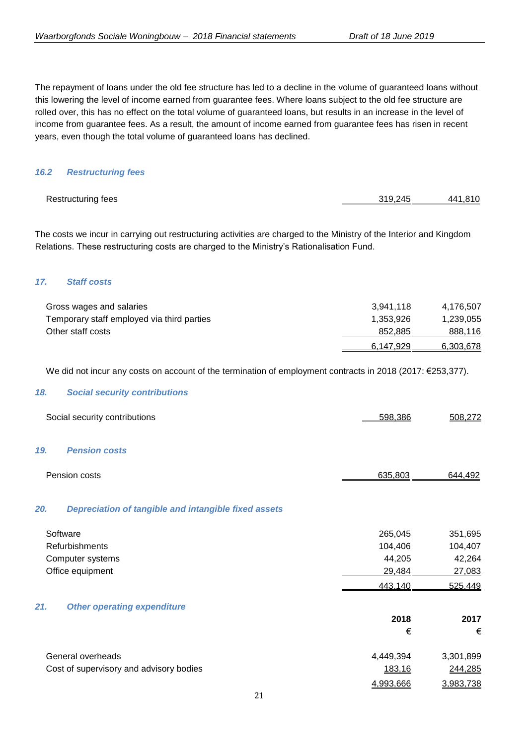The repayment of loans under the old fee structure has led to a decline in the volume of guaranteed loans without this lowering the level of income earned from guarantee fees. Where loans subject to the old fee structure are rolled over, this has no effect on the total volume of guaranteed loans, but results in an increase in the level of income from guarantee fees. As a result, the amount of income earned from guarantee fees has risen in recent years, even though the total volume of guaranteed loans has declined.

### *16.2 Restructuring fees*

| <b>Restructuring fees</b> | 319.245 | 441.810 |
|---------------------------|---------|---------|
|                           |         |         |

The costs we incur in carrying out restructuring activities are charged to the Ministry of the Interior and Kingdom Relations. These restructuring costs are charged to the Ministry's Rationalisation Fund.

### *17. Staff costs*

| Gross wages and salaries                   | 3.941.118 | 4.176.507 |
|--------------------------------------------|-----------|-----------|
| Temporary staff employed via third parties | 1.353.926 | 1,239,055 |
| Other staff costs                          | 852.885   | 888,116   |
|                                            | 6.147.929 | 6,303,678 |

We did not incur any costs on account of the termination of employment contracts in 2018 (2017: €253,377).

#### *18. Social security contributions*

| Social security contributions                               | 598,386   | 508,272   |
|-------------------------------------------------------------|-----------|-----------|
| 19.<br><b>Pension costs</b>                                 |           |           |
| Pension costs                                               | 635,803   | 644,492   |
| 20.<br>Depreciation of tangible and intangible fixed assets |           |           |
| Software                                                    | 265,045   | 351,695   |
| Refurbishments                                              | 104,406   | 104,407   |
| Computer systems                                            | 44,205    | 42,264    |
| Office equipment                                            | 29,484    | 27,083    |
|                                                             | 443,140   | 525,449   |
| 21.<br><b>Other operating expenditure</b>                   |           |           |
|                                                             | 2018      | 2017      |
|                                                             | €         | €         |
| General overheads                                           | 4,449,394 | 3,301,899 |
| Cost of supervisory and advisory bodies                     | 183,16    | 244,285   |
|                                                             | 4,993,666 | 3,983,738 |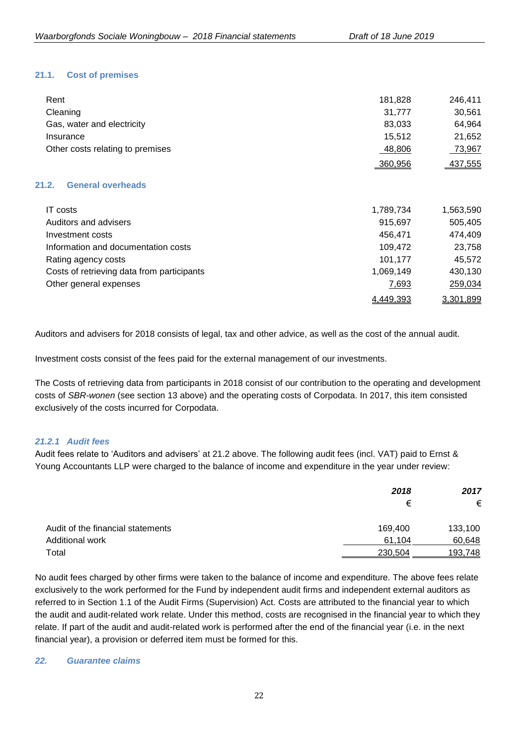## **21.1. Cost of premises**

| Rent                                | 181,828   | 246,411   |
|-------------------------------------|-----------|-----------|
| Cleaning                            | 31,777    | 30,561    |
| Gas, water and electricity          | 83,033    | 64,964    |
| Insurance                           | 15,512    | 21,652    |
| Other costs relating to premises    | 48,806    | 73,967    |
|                                     | 360,956   | 437,555   |
| <b>General overheads</b><br>21.2.   |           |           |
| <b>IT</b> costs                     | 1,789,734 | 1,563,590 |
| Auditors and advisers               | 915,697   | 505,405   |
| Investment costs                    | 456,471   | 474,409   |
| Information and documentation costs | 109,472   | 23,758    |
| Rating agency costs                 | 101,177   | 45,572    |

| Costs of retrieving data from participants | 1.069.149 | 430,130   |
|--------------------------------------------|-----------|-----------|
| Other general expenses                     | 7,693     | 259,034   |
|                                            | 4,449,393 | 3,301,899 |

Auditors and advisers for 2018 consists of legal, tax and other advice, as well as the cost of the annual audit.

Investment costs consist of the fees paid for the external management of our investments.

The Costs of retrieving data from participants in 2018 consist of our contribution to the operating and development costs of *SBR-wonen* (see section 13 above) and the operating costs of Corpodata. In 2017, this item consisted exclusively of the costs incurred for Corpodata.

## *21.2.1 Audit fees*

Audit fees relate to 'Auditors and advisers' at 21.2 above. The following audit fees (incl. VAT) paid to Ernst & Young Accountants LLP were charged to the balance of income and expenditure in the year under review:

|                                   | 2018    | 2017    |  |
|-----------------------------------|---------|---------|--|
|                                   | €       | €       |  |
| Audit of the financial statements | 169,400 | 133,100 |  |
| <b>Additional work</b>            | 61.104  | 60,648  |  |
| Total                             | 230,504 | 193,748 |  |

No audit fees charged by other firms were taken to the balance of income and expenditure. The above fees relate exclusively to the work performed for the Fund by independent audit firms and independent external auditors as referred to in Section 1.1 of the Audit Firms (Supervision) Act. Costs are attributed to the financial year to which the audit and audit-related work relate. Under this method, costs are recognised in the financial year to which they relate. If part of the audit and audit-related work is performed after the end of the financial year (i.e. in the next financial year), a provision or deferred item must be formed for this.

#### *22. Guarantee claims*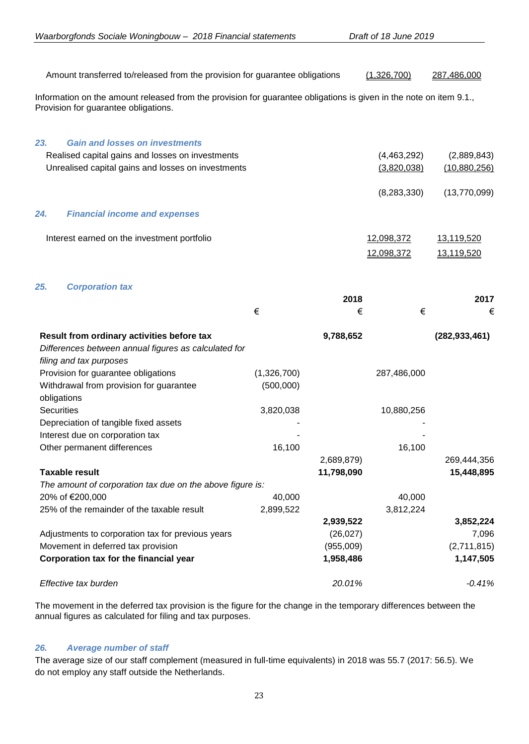| Amount transferred to/released from the provision for guarantee obligations                                                                                |                          |            | (1,326,700)   | 287,486,000     |
|------------------------------------------------------------------------------------------------------------------------------------------------------------|--------------------------|------------|---------------|-----------------|
| Information on the amount released from the provision for guarantee obligations is given in the note on item 9.1.,<br>Provision for guarantee obligations. |                          |            |               |                 |
| <b>Gain and losses on investments</b><br>23.                                                                                                               |                          |            |               |                 |
| Realised capital gains and losses on investments                                                                                                           |                          |            | (4,463,292)   | (2,889,843)     |
| Unrealised capital gains and losses on investments                                                                                                         |                          |            | (3,820,038)   | (10,880,256)    |
|                                                                                                                                                            |                          |            | (8, 283, 330) | (13,770,099)    |
| 24.<br><b>Financial income and expenses</b>                                                                                                                |                          |            |               |                 |
| Interest earned on the investment portfolio                                                                                                                |                          |            | 12,098,372    | 13,119,520      |
|                                                                                                                                                            |                          |            | 12,098,372    | 13,119,520      |
| 25.<br><b>Corporation tax</b>                                                                                                                              |                          |            |               |                 |
|                                                                                                                                                            |                          | 2018       |               | 2017            |
|                                                                                                                                                            | €                        | €          | €             | €               |
| Result from ordinary activities before tax<br>Differences between annual figures as calculated for<br>filing and tax purposes                              |                          | 9,788,652  |               | (282, 933, 461) |
| Provision for guarantee obligations<br>Withdrawal from provision for guarantee<br>obligations                                                              | (1,326,700)<br>(500,000) |            | 287,486,000   |                 |
| <b>Securities</b>                                                                                                                                          | 3,820,038                |            | 10,880,256    |                 |
| Depreciation of tangible fixed assets                                                                                                                      |                          |            |               |                 |
| Interest due on corporation tax                                                                                                                            |                          |            |               |                 |
| Other permanent differences                                                                                                                                | 16,100                   |            | 16,100        |                 |
|                                                                                                                                                            |                          | 2,689,879) |               | 269,444,356     |

| 20% of €200,000                                   | 40.000    |           | 40.000    |             |
|---------------------------------------------------|-----------|-----------|-----------|-------------|
| 25% of the remainder of the taxable result        | 2,899,522 |           | 3,812,224 |             |
|                                                   |           | 2,939,522 |           | 3,852,224   |
| Adjustments to corporation tax for previous years |           | (26, 027) |           | 7.096       |
| Movement in deferred tax provision                |           | (955,009) |           | (2,711,815) |
| Corporation tax for the financial year            |           | 1.958.486 |           | 1,147,505   |
| Effective tax burden                              |           | 20.01%    |           | $-0.41%$    |

**Taxable result 11,798,090 15,448,895**

The movement in the deferred tax provision is the figure for the change in the temporary differences between the annual figures as calculated for filing and tax purposes.

## *26. Average number of staff*

*The amount of corporation tax due on the above figure is:*

The average size of our staff complement (measured in full-time equivalents) in 2018 was 55.7 (2017: 56.5). We do not employ any staff outside the Netherlands.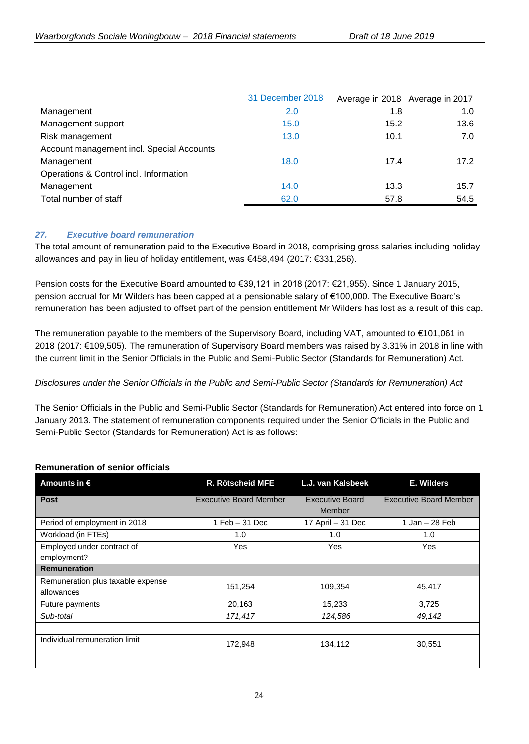| 31 December 2018 |      |                                 |
|------------------|------|---------------------------------|
| 2.0              | 1.8  | 1.0                             |
| 15.0             | 15.2 | 13.6                            |
| 13.0             | 10.1 | 7.0                             |
|                  |      |                                 |
| 18.0             | 17.4 | 17.2                            |
|                  |      |                                 |
| 14.0             | 13.3 | 15.7                            |
| 62.0             | 57.8 | 54.5                            |
|                  |      | Average in 2018 Average in 2017 |

## *27. Executive board remuneration*

The total amount of remuneration paid to the Executive Board in 2018, comprising gross salaries including holiday allowances and pay in lieu of holiday entitlement, was €458,494 (2017: €331,256).

Pension costs for the Executive Board amounted to €39,121 in 2018 (2017: €21,955). Since 1 January 2015, pension accrual for Mr Wilders has been capped at a pensionable salary of €100,000. The Executive Board's remuneration has been adjusted to offset part of the pension entitlement Mr Wilders has lost as a result of this cap.

The remuneration payable to the members of the Supervisory Board, including VAT, amounted to €101,061 in 2018 (2017: €109,505). The remuneration of Supervisory Board members was raised by 3.31% in 2018 in line with the current limit in the Senior Officials in the Public and Semi-Public Sector (Standards for Remuneration) Act.

## *Disclosures under the Senior Officials in the Public and Semi-Public Sector (Standards for Remuneration) Act*

The Senior Officials in the Public and Semi-Public Sector (Standards for Remuneration) Act entered into force on 1 January 2013. The statement of remuneration components required under the Senior Officials in the Public and Semi-Public Sector (Standards for Remuneration) Act is as follows:

## **Remuneration of senior officials**

| Amounts in $\epsilon$                           | <b>R. Rötscheid MFE</b>       | L.J. van Kalsbeek                | E. Wilders                    |
|-------------------------------------------------|-------------------------------|----------------------------------|-------------------------------|
| <b>Post</b>                                     | <b>Executive Board Member</b> | <b>Executive Board</b><br>Member | <b>Executive Board Member</b> |
| Period of employment in 2018                    | $1$ Feb $-31$ Dec             | 17 April - 31 Dec                | 1 Jan – 28 Feb                |
| Workload (in FTEs)                              | 1.0                           | 1.0                              | 1.0                           |
| Employed under contract of<br>employment?       | Yes                           | Yes                              | Yes                           |
| <b>Remuneration</b>                             |                               |                                  |                               |
| Remuneration plus taxable expense<br>allowances | 151,254                       | 109,354                          | 45,417                        |
| Future payments                                 | 20,163                        | 15,233                           | 3,725                         |
| Sub-total                                       | 171,417                       | 124,586                          | 49,142                        |
| Individual remuneration limit                   | 172,948                       | 134,112                          | 30,551                        |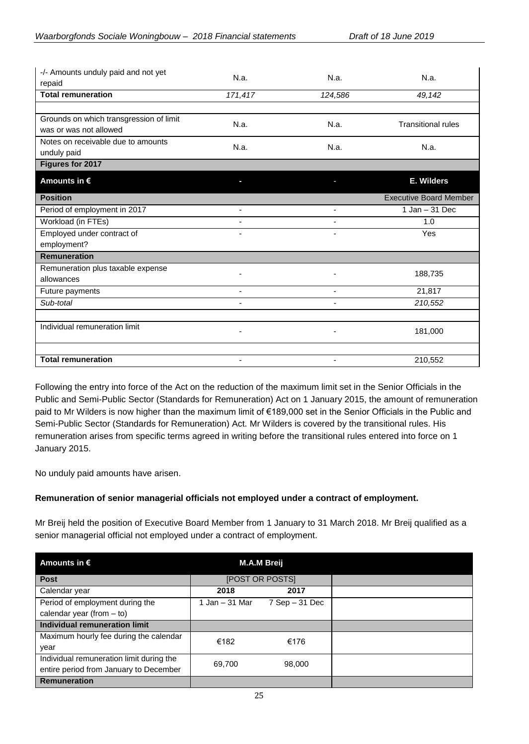| -/- Amounts unduly paid and not yet<br>repaid                     | N.a.                     | N.a.                     | N.a.                          |
|-------------------------------------------------------------------|--------------------------|--------------------------|-------------------------------|
| <b>Total remuneration</b>                                         | 171,417                  | 124,586                  | 49,142                        |
|                                                                   |                          |                          |                               |
| Grounds on which transgression of limit<br>was or was not allowed | N.a.                     | N.a.                     | <b>Transitional rules</b>     |
| Notes on receivable due to amounts<br>unduly paid                 | N.a.                     | N.a.                     | N.a.                          |
| Figures for 2017                                                  |                          |                          |                               |
| Amounts in $\epsilon$                                             |                          |                          | E. Wilders                    |
| <b>Position</b>                                                   |                          |                          | <b>Executive Board Member</b> |
| Period of employment in 2017                                      | $\blacksquare$           | $\blacksquare$           | $1$ Jan $-31$ Dec             |
| Workload (in FTEs)                                                |                          |                          | 1.0                           |
| Employed under contract of                                        | $\blacksquare$           | $\blacksquare$           | Yes                           |
| employment?                                                       |                          |                          |                               |
| <b>Remuneration</b>                                               |                          |                          |                               |
| Remuneration plus taxable expense                                 |                          |                          | 188,735                       |
| allowances                                                        |                          |                          |                               |
| Future payments                                                   | $\overline{\phantom{a}}$ | -                        | 21,817                        |
| Sub-total                                                         | $\overline{\phantom{0}}$ |                          | 210,552                       |
|                                                                   |                          |                          |                               |
| Individual remuneration limit                                     | $\overline{\phantom{0}}$ | $\overline{\phantom{0}}$ | 181,000                       |
| <b>Total remuneration</b>                                         | $\overline{\phantom{a}}$ | -                        | 210,552                       |

Following the entry into force of the Act on the reduction of the maximum limit set in the Senior Officials in the Public and Semi-Public Sector (Standards for Remuneration) Act on 1 January 2015, the amount of remuneration paid to Mr Wilders is now higher than the maximum limit of €189,000 set in the Senior Officials in the Public and Semi-Public Sector (Standards for Remuneration) Act. Mr Wilders is covered by the transitional rules. His remuneration arises from specific terms agreed in writing before the transitional rules entered into force on 1 January 2015.

No unduly paid amounts have arisen.

## **Remuneration of senior managerial officials not employed under a contract of employment.**

Mr Breij held the position of Executive Board Member from 1 January to 31 March 2018. Mr Breij qualified as a senior managerial official not employed under a contract of employment.

| Amounts in $\epsilon$                    |                | M.A.M Breij            |  |
|------------------------------------------|----------------|------------------------|--|
| <b>Post</b>                              |                | <b>[POST OR POSTS]</b> |  |
| Calendar year                            | 2018           | 2017                   |  |
| Period of employment during the          | 1 Jan – 31 Mar | $7$ Sep $-31$ Dec      |  |
| calendar year (from $-$ to)              |                |                        |  |
| <b>Individual remuneration limit</b>     |                |                        |  |
| Maximum hourly fee during the calendar   | €182           | €176                   |  |
| year                                     |                |                        |  |
| Individual remuneration limit during the | 69,700         | 98,000                 |  |
| entire period from January to December   |                |                        |  |
| <b>Remuneration</b>                      |                |                        |  |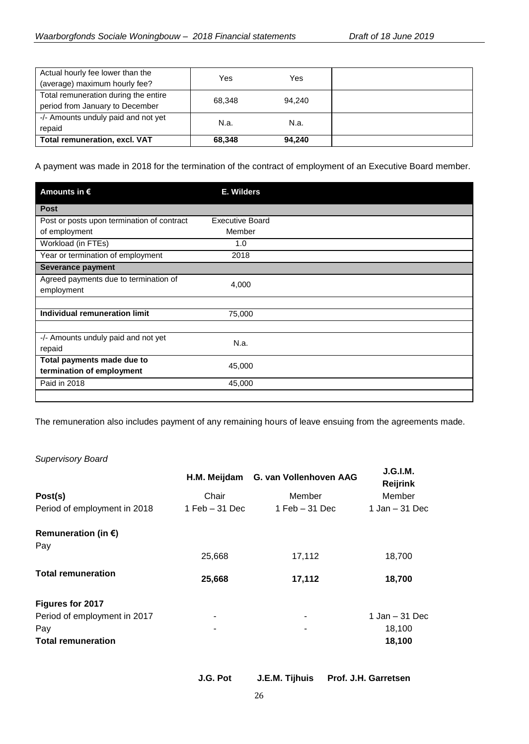| Actual hourly fee lower than the<br>(average) maximum hourly fee? | Yes    | Yes    |  |
|-------------------------------------------------------------------|--------|--------|--|
| Total remuneration during the entire                              | 68.348 | 94.240 |  |
| period from January to December                                   |        |        |  |
| -/- Amounts unduly paid and not yet                               | N.a.   | N.a.   |  |
| repaid                                                            |        |        |  |
| <b>Total remuneration, excl. VAT</b>                              | 68.348 | 94.240 |  |

A payment was made in 2018 for the termination of the contract of employment of an Executive Board member.

| Amounts in $\epsilon$                               | E. Wilders             |  |
|-----------------------------------------------------|------------------------|--|
| <b>Post</b>                                         |                        |  |
| Post or posts upon termination of contract          | <b>Executive Board</b> |  |
| of employment                                       | Member                 |  |
| Workload (in FTEs)                                  | 1.0                    |  |
| Year or termination of employment                   | 2018                   |  |
| Severance payment                                   |                        |  |
| Agreed payments due to termination of<br>employment | 4,000                  |  |
|                                                     |                        |  |
| Individual remuneration limit                       | 75,000                 |  |
|                                                     |                        |  |
| -/- Amounts unduly paid and not yet<br>repaid       | N.a.                   |  |
| Total payments made due to                          | 45,000                 |  |
| termination of employment                           |                        |  |
| Paid in 2018                                        | 45,000                 |  |
|                                                     |                        |  |

The remuneration also includes payment of any remaining hours of leave ensuing from the agreements made.

## *Supervisory Board*

|                                      | H.M. Meijdam      | G. van Vollenhoven AAG | J.G.I.M.<br><b>Reijrink</b> |
|--------------------------------------|-------------------|------------------------|-----------------------------|
| Post(s)                              | Chair             | Member                 | Member                      |
| Period of employment in 2018         | $1$ Feb $-31$ Dec | $1$ Feb $-31$ Dec      | $1$ Jan $-31$ Dec           |
| Remuneration (in $\epsilon$ )<br>Pay |                   |                        |                             |
|                                      | 25,668            | 17,112                 | 18,700                      |
| <b>Total remuneration</b>            | 25,668            | 17,112                 | 18,700                      |
| Figures for 2017                     |                   |                        |                             |
| Period of employment in 2017         |                   |                        | $1$ Jan $-31$ Dec           |
| Pay                                  |                   |                        | 18,100                      |
| <b>Total remuneration</b>            |                   |                        | 18,100                      |

**J.G. Pot J.E.M. Tijhuis Prof. J.H. Garretsen**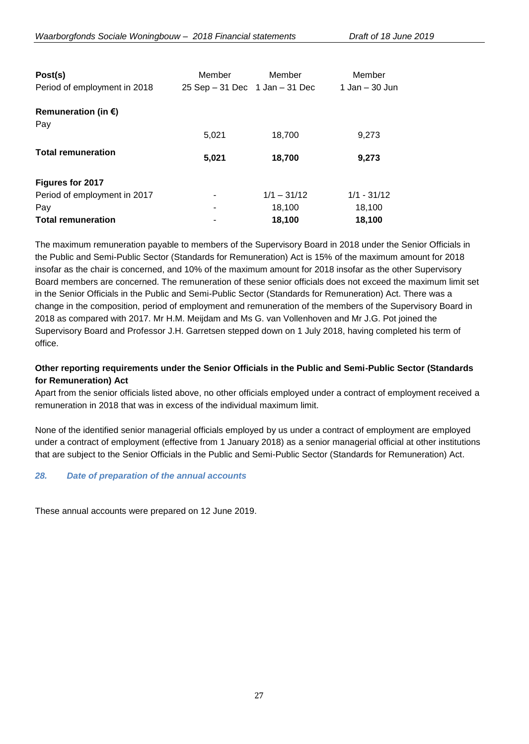| Post(s)<br>Period of employment in 2018 | Member<br>$25$ Sep $-31$ Dec 1 Jan $-31$ Dec | Member        | Member<br>1 Jan – 30 Jun |
|-----------------------------------------|----------------------------------------------|---------------|--------------------------|
| Remuneration (in $\epsilon$ )           |                                              |               |                          |
| Pay                                     |                                              |               |                          |
|                                         | 5,021                                        | 18,700        | 9,273                    |
| <b>Total remuneration</b>               | 5,021                                        | 18,700        | 9,273                    |
| Figures for 2017                        |                                              |               |                          |
| Period of employment in 2017            |                                              | $1/1 - 31/12$ | $1/1 - 31/12$            |
| Pay                                     |                                              | 18,100        | 18,100                   |
| <b>Total remuneration</b>               |                                              | 18.100        | 18,100                   |

The maximum remuneration payable to members of the Supervisory Board in 2018 under the Senior Officials in the Public and Semi-Public Sector (Standards for Remuneration) Act is 15% of the maximum amount for 2018 insofar as the chair is concerned, and 10% of the maximum amount for 2018 insofar as the other Supervisory Board members are concerned. The remuneration of these senior officials does not exceed the maximum limit set in the Senior Officials in the Public and Semi-Public Sector (Standards for Remuneration) Act. There was a change in the composition, period of employment and remuneration of the members of the Supervisory Board in 2018 as compared with 2017. Mr H.M. Meijdam and Ms G. van Vollenhoven and Mr J.G. Pot joined the Supervisory Board and Professor J.H. Garretsen stepped down on 1 July 2018, having completed his term of office.

# **Other reporting requirements under the Senior Officials in the Public and Semi-Public Sector (Standards for Remuneration) Act**

Apart from the senior officials listed above, no other officials employed under a contract of employment received a remuneration in 2018 that was in excess of the individual maximum limit.

None of the identified senior managerial officials employed by us under a contract of employment are employed under a contract of employment (effective from 1 January 2018) as a senior managerial official at other institutions that are subject to the Senior Officials in the Public and Semi-Public Sector (Standards for Remuneration) Act.

## *28. Date of preparation of the annual accounts*

These annual accounts were prepared on 12 June 2019.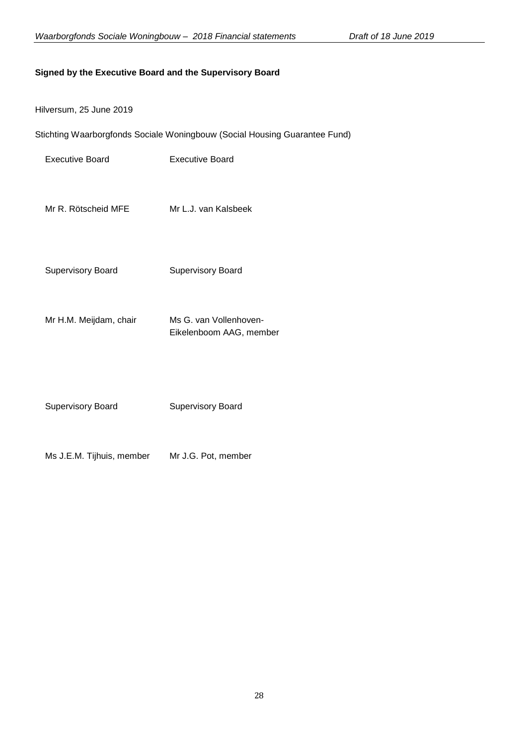## **Signed by the Executive Board and the Supervisory Board**

| Hilversum, 25 June 2019 |  |  |  |
|-------------------------|--|--|--|
|-------------------------|--|--|--|

Stichting Waarborgfonds Sociale Woningbouw (Social Housing Guarantee Fund)

| <b>Executive Board</b> | <b>Executive Board</b> |
|------------------------|------------------------|
|                        |                        |

- Mr R. Rötscheid MFE Mr L.J. van Kalsbeek
- Supervisory Board Supervisory Board
- Mr H.M. Meijdam, chair Ms G. van Vollenhoven-Eikelenboom AAG, member
- Supervisory Board **Supervisory Board**
- Ms J.E.M. Tijhuis, member Mr J.G. Pot, member